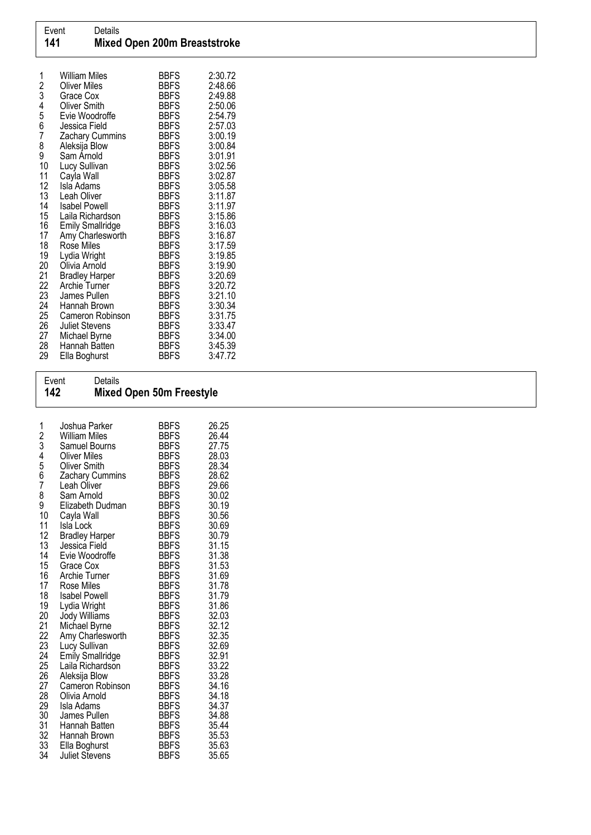| 1<br>234567 | <b>William Miles</b><br><b>Oliver Miles</b> | <b>BBFS</b><br>BBFS        | 2:30.72<br>2:48.66 |
|-------------|---------------------------------------------|----------------------------|--------------------|
|             | Grace Cox                                   | <b>BBFS</b>                | 2:49.88            |
|             | <b>Oliver Smith</b>                         | <b>BBFS</b>                | 2:50.06            |
|             | Evie Woodroffe                              | <b>BBFS</b>                | 2:54.79            |
|             | Jessica Field                               | <b>BBFS</b>                | 2:57.03            |
| 8           | Zachary Cummins<br>Aleksija Blow            | <b>BBFS</b><br><b>BBFS</b> | 3:00.19<br>3:00.84 |
| 9           | Sam Arnold                                  | <b>BBFS</b>                | 3:01.91            |
| 10          | Lucy Sullivan                               | <b>BBFS</b>                | 3:02.56            |
| 11          | Cayla Wall                                  | <b>BBFS</b>                | 3:02.87            |
| 12          | Isla Adams                                  | <b>BBFS</b>                | 3:05.58            |
| 13          | Leah Oliver                                 | <b>BBFS</b>                | 3:11.87            |
| 14          | <b>Isabel Powell</b>                        | BBFS                       | 3:11.97            |
| 15          | Laila Richardson                            | <b>BBFS</b>                | 3:15.86            |
| 16          | <b>Emily Smallridge</b>                     | <b>BBFS</b>                | 3:16.03            |
| 17          | Amy Charlesworth                            | <b>BBFS</b>                | 3:16.87            |
| 18          | Rose Miles                                  | <b>BBFS</b>                | 3:17.59            |
| 19          | Lydia Wright                                | <b>BBFS</b>                | 3:19.85            |
| 20<br>21    | Olivia Arnold                               | <b>BBFS</b>                | 3:19.90<br>3:20.69 |
| 22          | <b>Bradley Harper</b><br>Archie Turner      | BBFS<br><b>BBFS</b>        | 3:20.72            |
| 23          | James Pullen                                | <b>BBFS</b>                | 3:21.10            |
| 24          | Hannah Brown                                | <b>BBFS</b>                | 3:30.34            |
| 25          | Cameron Robinson                            | <b>BBFS</b>                | 3:31.75            |
| 26          | <b>Juliet Stevens</b>                       | <b>BBFS</b>                | 3:33.47            |
| 27          | Michael Byrne                               | <b>BBFS</b>                | 3:34.00            |
| 28          | Hannah Batten                               | <b>BBFS</b>                | 3:45.39            |
| 29          | Ella Boghurst                               | <b>BBFS</b>                | 3:47.72            |

## Event Details 142 Mixed Open 50m Freestyle

| 1<br>234567<br>8<br>9<br>10<br>11<br>12<br>13<br>14<br>15<br>16<br>17<br>18<br>19<br>20<br>21<br>22<br>23<br>24<br>25<br>26<br>27<br>28<br>29 | Joshua Parker<br>William Miles<br>Samuel Bourns<br><b>Oliver Miles</b><br><b>Oliver Smith</b><br>Zachary Cummins<br>Leah Oliver<br>Sam Arnold<br>Elizabeth Dudman<br>Cayla Wall<br>Isla Lock<br><b>Bradley Harper</b><br>Jessica Field<br>Evie Woodroffe<br>Grace Cox<br>Archie Turner<br>Rose Miles<br><b>Isabel Powell</b><br>Lydia Wright<br>Jody Williams<br>Michael Byrne<br>Amy Charlesworth<br>Lucy Sullivan<br><b>Emily Smallridge</b><br>Laila Richardson<br>Aleksija Blow<br>Cameron Robinson<br>Olivia Arnold<br>Isla Adams | <b>BBFS</b><br><b>BBFS</b><br><b>BBFS</b><br><b>BBFS</b><br><b>BBFS</b><br><b>BBFS</b><br><b>BBFS</b><br><b>BBFS</b><br><b>BBFS</b><br><b>BBFS</b><br><b>BBFS</b><br><b>BBFS</b><br><b>BBFS</b><br><b>BBFS</b><br><b>BBFS</b><br><b>BBFS</b><br><b>BBFS</b><br><b>BBFS</b><br><b>BBFS</b><br><b>BBFS</b><br><b>BBFS</b><br><b>BBFS</b><br><b>BBFS</b><br><b>BBFS</b><br><b>BBFS</b><br><b>BBFS</b><br><b>BBFS</b><br><b>BBFS</b><br><b>BBFS</b> | 26.25<br>26.44<br>27.75<br>28.03<br>28.34<br>28.62<br>29.66<br>30.02<br>30.19<br>30.56<br>30.69<br>30.79<br>31.15<br>31.38<br>31.53<br>31.69<br>31.78<br>31.79<br>31.86<br>32.03<br>32.12<br>32.35<br>32.69<br>32.91<br>33.22<br>33.28<br>34.16<br>34.18<br>34.37 |
|-----------------------------------------------------------------------------------------------------------------------------------------------|----------------------------------------------------------------------------------------------------------------------------------------------------------------------------------------------------------------------------------------------------------------------------------------------------------------------------------------------------------------------------------------------------------------------------------------------------------------------------------------------------------------------------------------|-------------------------------------------------------------------------------------------------------------------------------------------------------------------------------------------------------------------------------------------------------------------------------------------------------------------------------------------------------------------------------------------------------------------------------------------------|-------------------------------------------------------------------------------------------------------------------------------------------------------------------------------------------------------------------------------------------------------------------|
|                                                                                                                                               |                                                                                                                                                                                                                                                                                                                                                                                                                                                                                                                                        |                                                                                                                                                                                                                                                                                                                                                                                                                                                 |                                                                                                                                                                                                                                                                   |
| 30                                                                                                                                            | James Pullen                                                                                                                                                                                                                                                                                                                                                                                                                                                                                                                           | <b>BBFS</b>                                                                                                                                                                                                                                                                                                                                                                                                                                     | 34.88                                                                                                                                                                                                                                                             |
| 31<br>32                                                                                                                                      | Hannah Batten<br>Hannah Brown                                                                                                                                                                                                                                                                                                                                                                                                                                                                                                          | <b>BBFS</b><br><b>BBFS</b>                                                                                                                                                                                                                                                                                                                                                                                                                      | 35.44<br>35.53                                                                                                                                                                                                                                                    |
| 33<br>34                                                                                                                                      | Ella Boghurst<br>Juliet Stevens                                                                                                                                                                                                                                                                                                                                                                                                                                                                                                        | <b>BBFS</b><br><b>BBFS</b>                                                                                                                                                                                                                                                                                                                                                                                                                      | 35.63<br>35.65                                                                                                                                                                                                                                                    |